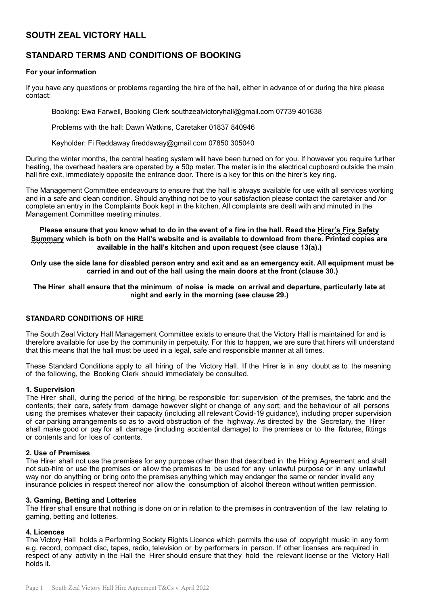# **SOUTH ZEAL VICTORY HALL**

# **STANDARD TERMS AND CONDITIONS OF BOOKING**

# **For your information**

If you have any questions or problems regarding the hire of the hall, either in advance of or during the hire please contact:

Booking: Ewa Farwell, Booking Clerk [southzealvictoryhall@gmail.com](mailto:southzealvictoryhall@gmail.com) 07739 401638

Problems with the hall: Dawn Watkins, Caretaker 01837 840946

Keyholder: Fi Reddaway [fireddaway@gmail.com](mailto:fireddaway@gmail.com) 07850 305040

During the winter months, the central heating system will have been turned on for you. If however you require further heating, the overhead heaters are operated by a 50p meter. The meter is in the electrical cupboard outside the main hall fire exit, immediately opposite the entrance door. There is a key for this on the hirer's key ring.

The Management Committee endeavours to ensure that the hall is always available for use with all services working and in a safe and clean condition. Should anything not be to your satisfaction please contact the caretaker and /or complete an entry in the Complaints Book kept in the kitchen. All complaints are dealt with and minuted in the Management Committee meeting minutes.

## **Please ensure that you know what to do in the event of a fire in the hall. Read the Hirer's Fire Safety Summary which is both on the Hall's website and is available to download from there. Printed copies are available in the hall's kitchen and upon request (see clause 13(a).)**

**Only use the side lane for disabled person entry and exit and as an emergency exit. All equipment must be carried in and out of the hall using the main doors at the front (clause 30.)**

### **The Hirer shall ensure that the minimum of noise is made on arrival and departure, particularly late at night and early in the morning (see clause 29.)**

# **STANDARD CONDITIONS OF HIRE**

The South Zeal Victory Hall Management Committee exists to ensure that the Victory Hall is maintained for and is therefore available for use by the community in perpetuity. For this to happen, we are sure that hirers will understand that this means that the hall must be used in a legal, safe and responsible manner at all times.

These Standard Conditions apply to all hiring of the Victory Hall. If the Hirer is in any doubt as to the meaning of the following, the Booking Clerk should immediately be consulted.

### **1. Supervision**

The Hirer shall, during the period of the hiring, be responsible for: supervision of the premises, the fabric and the contents; their care, safety from damage however slight or change of any sort; and the behaviour of all persons using the premises whatever their capacity (including all relevant Covid-19 guidance), including proper supervision of car parking arrangements so as to avoid obstruction of the highway. As directed by the Secretary, the Hirer shall make good or pay for all damage (including accidental damage) to the premises or to the fixtures, fittings or contents and for loss of contents.

### **2. Use of Premises**

The Hirer shall not use the premises for any purpose other than that described in the Hiring Agreement and shall not sub-hire or use the premises or allow the premises to be used for any unlawful purpose or in any unlawful way nor do anything or bring onto the premises anything which may endanger the same or render invalid any insurance policies in respect thereof nor allow the consumption of alcohol thereon without written permission.

### **3. Gaming, Betting and Lotteries**

The Hirer shall ensure that nothing is done on or in relation to the premises in contravention of the law relating to gaming, betting and lotteries.

### **4. Licences**

The Victory Hall holds a Performing Society Rights Licence which permits the use of copyright music in any form e.g. record, compact disc, tapes, radio, television or by performers in person. If other licenses are required in respect of any activity in the Hall the Hirer should ensure that they hold the relevant license or the Victory Hall holds it.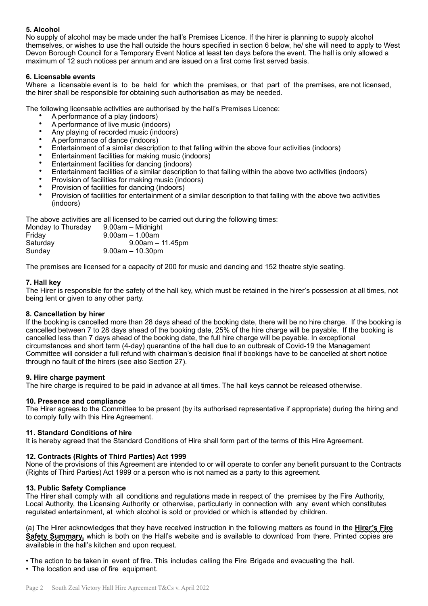# **5. Alcohol**

No supply of alcohol may be made under the hall's Premises Licence. If the hirer is planning to supply alcohol themselves, or wishes to use the hall outside the hours specified in section 6 below, he/ she will need to apply to West Devon Borough Council for a Temporary Event Notice at least ten days before the event. The hall is only allowed a maximum of 12 such notices per annum and are issued on a first come first served basis.

# **6. Licensable events**

Where a licensable event is to be held for which the premises, or that part of the premises, are not licensed, the hirer shall be responsible for obtaining such authorisation as may be needed.

The following licensable activities are authorised by the hall's Premises Licence:

- A performance of a play (indoors)
- A performance of live music (indoors)
- Any playing of recorded music (indoors)
- A performance of dance (indoors)
- Entertainment of a similar description to that falling within the above four activities (indoors)
- Entertainment facilities for making music (indoors)
- Entertainment facilities for dancing (indoors)
- Entertainment facilities of a similar description to that falling within the above two activities (indoors)
- Provision of facilities for making music (indoors)
- Provision of facilities for dancing (indoors)
- Provision of facilities for entertainment of a similar description to that falling with the above two activities (indoors)

The above activities are all licensed to be carried out during the following times:

| 9.00am - Midnight    |
|----------------------|
| $9.00$ am $-1.00$ am |
| $9.00am - 11.45pm$   |
| $9.00am - 10.30pm$   |
|                      |

The premises are licensed for a capacity of 200 for music and dancing and 152 theatre style seating.

# **7. Hall key**

The Hirer is responsible for the safety of the hall key, which must be retained in the hirer's possession at all times, not being lent or given to any other party.

### **8. Cancellation by hirer**

If the booking is cancelled more than 28 days ahead of the booking date, there will be no hire charge. If the booking is cancelled between 7 to 28 days ahead of the booking date, 25% of the hire charge will be payable. If the booking is cancelled less than 7 days ahead of the booking date, the full hire charge will be payable. In exceptional circumstances and short term (4-day) quarantine of the hall due to an outbreak of Covid-19 the Management Committee will consider a full refund with chairman's decision final if bookings have to be cancelled at short notice through no fault of the hirers (see also Section 27).

### **9. Hire charge payment**

The hire charge is required to be paid in advance at all times. The hall keys cannot be released otherwise.

# **10. Presence and compliance**

The Hirer agrees to the Committee to be present (by its authorised representative if appropriate) during the hiring and to comply fully with this Hire Agreement.

### **11. Standard Conditions of hire**

It is hereby agreed that the Standard Conditions of Hire shall form part of the terms of this Hire Agreement.

# **12. Contracts (Rights of Third Parties) Act 1999**

None of the provisions of this Agreement are intended to or will operate to confer any benefit pursuant to the Contracts (Rights of Third Parties) Act 1999 or a person who is not named as a party to this agreement.

### **13. Public Safety Compliance**

The Hirer shall comply with all conditions and regulations made in respect of the premises by the Fire Authority, Local Authority, the Licensing Authority or otherwise, particularly in connection with any event which constitutes regulated entertainment, at which alcohol is sold or provided or which is attended by children.

(a) The Hirer acknowledges that they have received instruction in the following matters as found in the **Hirer's Fire Safety Summary,** which is both on the Hall's website and is available to download from there. Printed copies are available in the hall's kitchen and upon request.

• The action to be taken in event of fire. This includes calling the Fire Brigade and evacuating the hall.

• The location and use of fire equipment.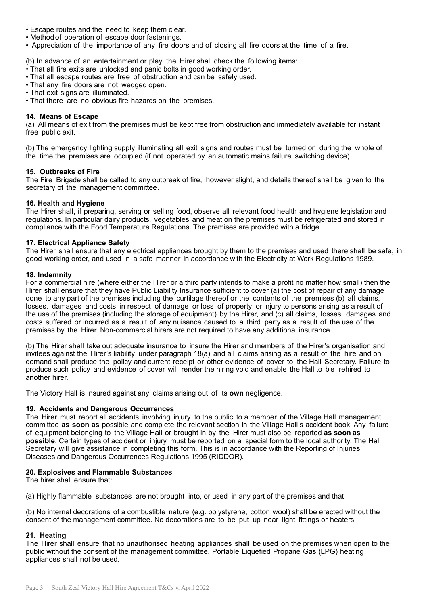- Escape routes and the need to keep them clear.
- Methodof operation of escape door fastenings.
- Appreciation of the importance of any fire doors and of closing all fire doors at the time of a fire.

(b) In advance of an entertainment or play the Hirer shall check the following items:

- That all fire exits are unlocked and panic bolts in good working order. • That all escape routes are free of obstruction and can be safely used.
- That any fire doors are not wedged open.
- That exit signs are illuminated.
- That there are no obvious fire hazards on the premises.

### **14. Means of Escape**

(a) All means of exit from the premises must be kept free from obstruction and immediately available for instant free public exit.

(b) The emergency lighting supply illuminating all exit signs and routes must be turned on during the whole of the time the premises are occupied (if not operated by an automatic mains failure switching device).

#### **15. Outbreaks of Fire**

The Fire Brigade shall be called to any outbreak of fire, however slight, and details thereof shall be given to the secretary of the management committee.

#### **16. Health and Hygiene**

The Hirer shall, if preparing, serving or selling food, observe all relevant food health and hygiene legislation and regulations. In particular dairy products, vegetables and meat on the premises must be refrigerated and stored in compliance with the Food Temperature Regulations. The premises are provided with a fridge.

#### **17. Electrical Appliance Safety**

The Hirer shall ensure that any electrical appliances brought by them to the premises and used there shall be safe, in good working order, and used in a safe manner in accordance with the Electricity at Work Regulations 1989.

#### **18. Indemnity**

For a commercial hire (where either the Hirer or a third party intends to make a profit no matter how small) then the Hirer shall ensure that they have Public Liability Insurance sufficient to cover (a) the cost of repair of any damage done to any part of the premises including the curtilage thereof or the contents of the premises (b) all claims, losses, damages and costs in respect of damage or loss of property or injury to persons arising as a result of the use of the premises (including the storage of equipment) by the Hirer, and (c) all claims, losses, damages and costs suffered or incurred as a result of any nuisance caused to a third party as a result of the use of the premises by the Hirer. Non-commercial hirers are not required to have any additional insurance

(b) The Hirer shall take out adequate insurance to insure the Hirer and members of the Hirer's organisation and invitees against the Hirer's liability under paragraph 18(a) and all claims arising as a result of the hire and on demand shall produce the policy and current receipt or other evidence of cover to the Hall Secretary. Failure to produce such policy and evidence of cover will render the hiring void and enable the Hall to be rehired to another hirer.

The Victory Hall is insured against any claims arising out of its **own** negligence.

### **19. Accidents and Dangerous Occurrences**

The Hirer must report all accidents involving injury to the public to a member of the Village Hall management committee **as soon as** possible and complete the relevant section in the Village Hall's accident book. Any failure of equipment belonging to the Village Hall or brought in by the Hirer must also be reported **as soon as possible**. Certain types of accident or injury must be reported on a special form to the local authority. The Hall Secretary will give assistance in completing this form. This is in accordance with the Reporting of Injuries, Diseases and Dangerous Occurrences Regulations 1995 (RIDDOR).

### **20. Explosives and Flammable Substances**

The hirer shall ensure that:

(a) Highly flammable substances are not brought into, or used in any part of the premises and that

(b) No internal decorations of a combustible nature (e.g. polystyrene, cotton wool) shall be erected without the consent of the management committee. No decorations are to be put up near light fittings or heaters.

### **21. Heating**

The Hirer shall ensure that no unauthorised heating appliances shall be used on the premises when open to the public without the consent of the management committee. Portable Liquefied Propane Gas (LPG) heating appliances shall not be used.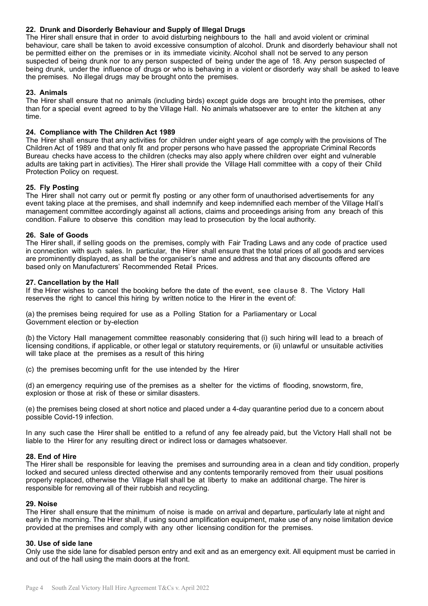# **22. Drunk and Disorderly Behaviour and Supply of Illegal Drugs**

The Hirer shall ensure that in order to avoid disturbing neighbours to the hall and avoid violent or criminal behaviour, care shall be taken to avoid excessive consumption of alcohol. Drunk and disorderly behaviour shall not be permitted either on the premises or in its immediate vicinity. Alcohol shall not be served to any person suspected of being drunk nor to any person suspected of being under the age of 18. Any person suspected of being drunk, under the influence of drugs or who is behaving in a violent or disorderly way shall be asked to leave the premises. No illegal drugs may be brought onto the premises.

# **23. Animals**

The Hirer shall ensure that no animals (including birds) except guide dogs are brought into the premises, other than for a special event agreed to by the Village Hall. No animals whatsoever are to enter the kitchen at any time.

# **24. Compliance with The Children Act 1989**

The Hirer shall ensure that any activities for children under eight years of age comply with the provisions of The Children Act of 1989 and that only fit and proper persons who have passed the appropriate Criminal Records Bureau checks have access to the children (checks may also apply where children over eight and vulnerable adults are taking part in activities). The Hirer shall provide the Village Hall committee with a copy of their Child Protection Policy on request.

# **25. Fly Posting**

The Hirer shall not carry out or permit fly posting or any other form of unauthorised advertisements for any event taking place at the premises, and shall indemnify and keep indemnified each member of the Village Hall's management committee accordingly against all actions, claims and proceedings arising from any breach of this condition. Failure to observe this condition may lead to prosecution by the local authority.

## **26. Sale of Goods**

The Hirer shall, if selling goods on the premises, comply with Fair Trading Laws and any code of practice used in connection with such sales. In particular, the Hirer shall ensure that the total prices of all goods and services are prominently displayed, as shall be the organiser's name and address and that any discounts offered are based only on Manufacturers' Recommended Retail Prices.

## **27. Cancellation by the Hall**

If the Hirer wishes to cancel the booking before the date of the event, see clause 8. The Victory Hall reserves the right to cancel this hiring by written notice to the Hirer in the event of:

(a) the premises being required for use as a Polling Station for a Parliamentary or Local Government election or by-election

(b) the Victory Hall management committee reasonably considering that (i) such hiring will lead to a breach of licensing conditions, if applicable, or other legal or statutory requirements, or (ii) unlawful or unsuitable activities will take place at the premises as a result of this hiring

(c) the premises becoming unfit for the use intended by the Hirer

(d) an emergency requiring use of the premises as a shelter for the victims of flooding, snowstorm, fire, explosion or those at risk of these or similar disasters.

(e) the premises being closed at short notice and placed under a 4-day quarantine period due to a concern about possible Covid-19 infection.

In any such case the Hirer shall be entitled to a refund of any fee already paid, but the Victory Hall shall not be liable to the Hirer for any resulting direct or indirect loss or damages whatsoever.

# **28. End of Hire**

The Hirer shall be responsible for leaving the premises and surrounding area in a clean and tidy condition, properly locked and secured unless directed otherwise and any contents temporarily removed from their usual positions properly replaced, otherwise the Village Hall shall be at liberty to make an additional charge. The hirer is responsible for removing all of their rubbish and recycling.

### **29. Noise**

The Hirer shall ensure that the minimum of noise is made on arrival and departure, particularly late at night and early in the morning. The Hirer shall, if using sound amplification equipment, make use of any noise limitation device provided at the premises and comply with any other licensing condition for the premises.

# **30. Use of side lane**

Only use the side lane for disabled person entry and exit and as an emergency exit. All equipment must be carried in and out of the hall using the main doors at the front.